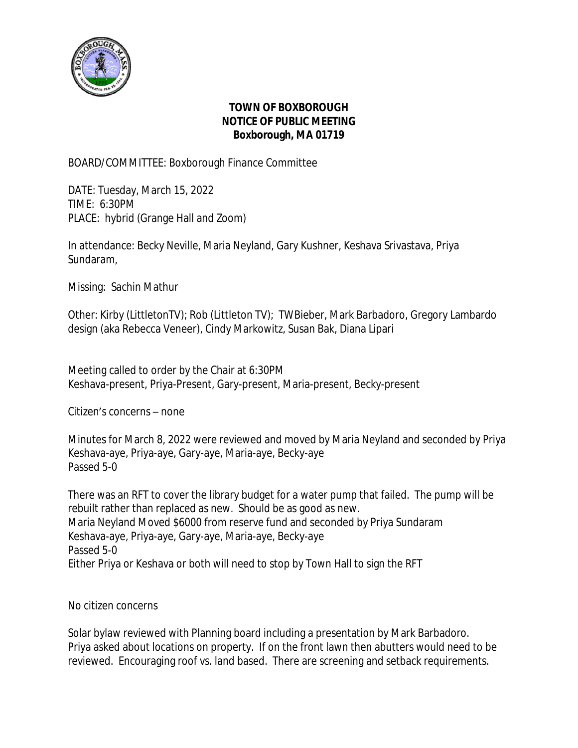

## **TOWN OF BOXBOROUGH NOTICE OF PUBLIC MEETING Boxborough, MA 01719**

## BOARD/COMMITTEE: Boxborough Finance Committee

DATE: Tuesday, March 15, 2022 TIME: 6:30PM PLACE: hybrid (Grange Hall and Zoom)

In attendance: Becky Neville, Maria Neyland, Gary Kushner, Keshava Srivastava, Priya Sundaram,

Missing: Sachin Mathur

Other: Kirby (LittletonTV); Rob (Littleton TV); TWBieber, Mark Barbadoro, Gregory Lambardo design (aka Rebecca Veneer), Cindy Markowitz, Susan Bak, Diana Lipari

Meeting called to order by the Chair at 6:30PM Keshava-present, Priya-Present, Gary-present, Maria-present, Becky-present

Citizen's concerns – none

Minutes for March 8, 2022 were reviewed and moved by Maria Neyland and seconded by Priya Keshava-aye, Priya-aye, Gary-aye, Maria-aye, Becky-aye Passed 5-0

There was an RFT to cover the library budget for a water pump that failed. The pump will be rebuilt rather than replaced as new. Should be as good as new. Maria Neyland Moved \$6000 from reserve fund and seconded by Priya Sundaram Keshava-aye, Priya-aye, Gary-aye, Maria-aye, Becky-aye Passed 5-0 Either Priya or Keshava or both will need to stop by Town Hall to sign the RFT

No citizen concerns

Solar bylaw reviewed with Planning board including a presentation by Mark Barbadoro. Priya asked about locations on property. If on the front lawn then abutters would need to be reviewed. Encouraging roof vs. land based. There are screening and setback requirements.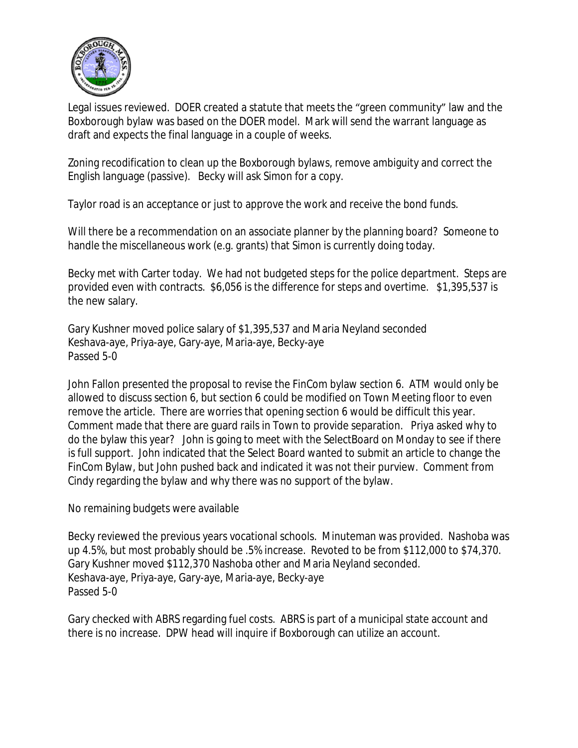

Legal issues reviewed. DOER created a statute that meets the "green community" law and the Boxborough bylaw was based on the DOER model. Mark will send the warrant language as draft and expects the final language in a couple of weeks.

Zoning recodification to clean up the Boxborough bylaws, remove ambiguity and correct the English language (passive). Becky will ask Simon for a copy.

Taylor road is an acceptance or just to approve the work and receive the bond funds.

Will there be a recommendation on an associate planner by the planning board? Someone to handle the miscellaneous work (e.g. grants) that Simon is currently doing today.

Becky met with Carter today. We had not budgeted steps for the police department. Steps are provided even with contracts. \$6,056 is the difference for steps and overtime. \$1,395,537 is the new salary.

Gary Kushner moved police salary of \$1,395,537 and Maria Neyland seconded Keshava-aye, Priya-aye, Gary-aye, Maria-aye, Becky-aye Passed 5-0

John Fallon presented the proposal to revise the FinCom bylaw section 6. ATM would only be allowed to discuss section 6, but section 6 could be modified on Town Meeting floor to even remove the article. There are worries that opening section 6 would be difficult this year. Comment made that there are guard rails in Town to provide separation. Priya asked why to do the bylaw this year? John is going to meet with the SelectBoard on Monday to see if there is full support. John indicated that the Select Board wanted to submit an article to change the FinCom Bylaw, but John pushed back and indicated it was not their purview. Comment from Cindy regarding the bylaw and why there was no support of the bylaw.

No remaining budgets were available

Becky reviewed the previous years vocational schools. Minuteman was provided. Nashoba was up 4.5%, but most probably should be .5% increase. Revoted to be from \$112,000 to \$74,370. Gary Kushner moved \$112,370 Nashoba other and Maria Neyland seconded. Keshava-aye, Priya-aye, Gary-aye, Maria-aye, Becky-aye Passed 5-0

Gary checked with ABRS regarding fuel costs. ABRS is part of a municipal state account and there is no increase. DPW head will inquire if Boxborough can utilize an account.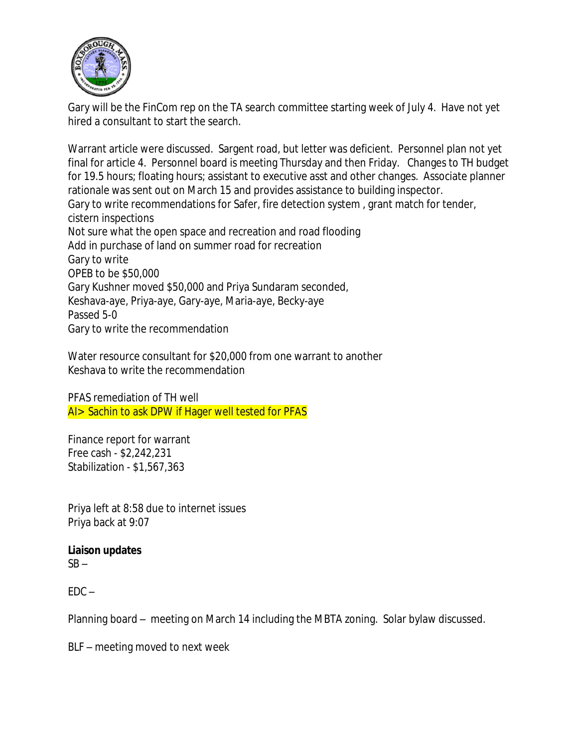

Gary will be the FinCom rep on the TA search committee starting week of July 4. Have not yet hired a consultant to start the search.

Warrant article were discussed. Sargent road, but letter was deficient. Personnel plan not yet final for article 4. Personnel board is meeting Thursday and then Friday. Changes to TH budget for 19.5 hours; floating hours; assistant to executive asst and other changes. Associate planner rationale was sent out on March 15 and provides assistance to building inspector. Gary to write recommendations for Safer, fire detection system , grant match for tender, cistern inspections Not sure what the open space and recreation and road flooding Add in purchase of land on summer road for recreation Gary to write OPEB to be \$50,000 Gary Kushner moved \$50,000 and Priya Sundaram seconded, Keshava-aye, Priya-aye, Gary-aye, Maria-aye, Becky-aye Passed 5-0 Gary to write the recommendation

Water resource consultant for \$20,000 from one warrant to another Keshava to write the recommendation

PFAS remediation of TH well AI> Sachin to ask DPW if Hager well tested for PFAS

Finance report for warrant Free cash - \$2,242,231 Stabilization - \$1,567,363

Priya left at 8:58 due to internet issues Priya back at 9:07

## **Liaison updates**

 $SB -$ 

 $FDC -$ 

Planning board – meeting on March 14 including the MBTA zoning. Solar bylaw discussed.

BLF – meeting moved to next week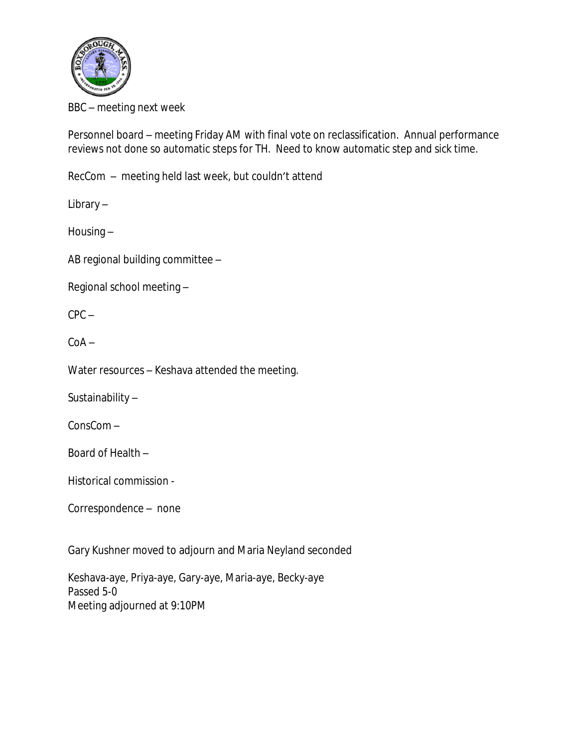

BBC – meeting next week

Personnel board – meeting Friday AM with final vote on reclassification. Annual performance reviews not done so automatic steps for TH. Need to know automatic step and sick time.

RecCom – meeting held last week, but couldn't attend

Library –

Housing –

AB regional building committee –

Regional school meeting –

 $CPC -$ 

 $C<sub>0</sub>A -$ 

Water resources – Keshava attended the meeting.

Sustainability –

ConsCom –

Board of Health –

Historical commission -

Correspondence – none

Gary Kushner moved to adjourn and Maria Neyland seconded

Keshava-aye, Priya-aye, Gary-aye, Maria-aye, Becky-aye Passed 5-0 Meeting adjourned at 9:10PM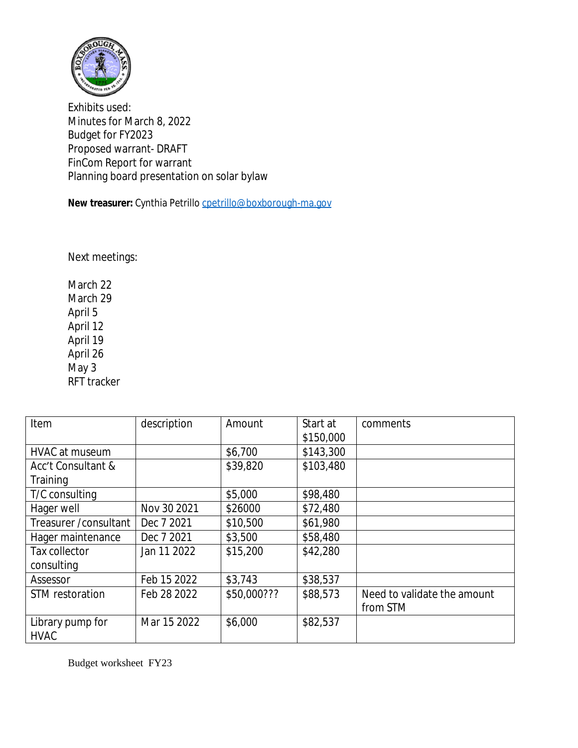

Exhibits used: Minutes for March 8, 2022 Budget for FY2023 Proposed warrant- DRAFT FinCom Report for warrant Planning board presentation on solar bylaw

New treasurer: Cynthia Petrillo [cpetrillo@boxborough-ma.gov](mailto:cpetrillo@boxborough-ma.gov)

[Next meetings:](mailto:cpetrillo@boxborough-ma.gov)

[March 22](mailto:cpetrillo@boxborough-ma.gov) [March 29](mailto:cpetrillo@boxborough-ma.gov) [April 5](mailto:cpetrillo@boxborough-ma.gov) [April 12](mailto:cpetrillo@boxborough-ma.gov) [April 19](mailto:cpetrillo@boxborough-ma.gov) [April 26](mailto:cpetrillo@boxborough-ma.gov) [May 3](mailto:cpetrillo@boxborough-ma.gov) [RFT tracker](mailto:cpetrillo@boxborough-ma.gov)

| Item                   | description | Amount      | Start at  | comments                    |
|------------------------|-------------|-------------|-----------|-----------------------------|
|                        |             |             | \$150,000 |                             |
| HVAC at museum         |             | \$6,700     | \$143,300 |                             |
| Acc't Consultant &     |             | \$39,820    | \$103,480 |                             |
| Training               |             |             |           |                             |
| T/C consulting         |             | \$5,000     | \$98,480  |                             |
| Hager well             | Nov 30 2021 | \$26000     | \$72,480  |                             |
| Treasurer / consultant | Dec 7 2021  | \$10,500    | \$61,980  |                             |
| Hager maintenance      | Dec 7 2021  | \$3,500     | \$58,480  |                             |
| Tax collector          | Jan 11 2022 | \$15,200    | \$42,280  |                             |
| consulting             |             |             |           |                             |
| Assessor               | Feb 15 2022 | \$3,743     | \$38,537  |                             |
| STM restoration        | Feb 28 2022 | \$50,000??? | \$88,573  | Need to validate the amount |
|                        |             |             |           | from STM                    |
| Library pump for       | Mar 15 2022 | \$6,000     | \$82,537  |                             |
| <b>HVAC</b>            |             |             |           |                             |

[Budget worksheet FY23](mailto:cpetrillo@boxborough-ma.gov)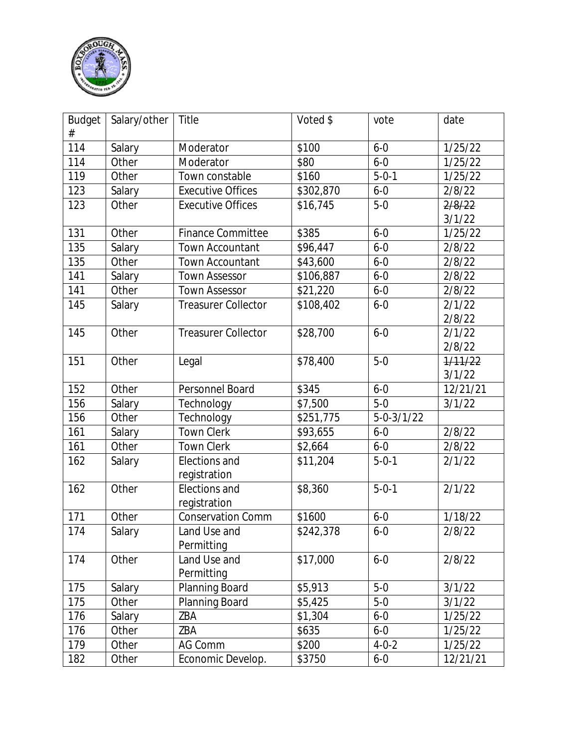

| <b>Budget</b> | Salary/other | <b>Title</b>               | Voted \$  | vote             | date     |
|---------------|--------------|----------------------------|-----------|------------------|----------|
| #             |              |                            |           |                  |          |
| 114           | Salary       | Moderator                  | \$100     | $6 - 0$          | 1/25/22  |
| 114           | Other        | Moderator                  | \$80      | $6 - 0$          | 1/25/22  |
| 119           | Other        | Town constable             | \$160     | $5 - 0 - 1$      | 1/25/22  |
| 123           | Salary       | <b>Executive Offices</b>   | \$302,870 | $6 - 0$          | 2/8/22   |
| 123           | Other        | <b>Executive Offices</b>   | \$16,745  | $5-0$            | 2/8/22   |
|               |              |                            |           |                  | 3/1/22   |
| 131           | Other        | <b>Finance Committee</b>   | \$385     | $6 - 0$          | 1/25/22  |
| 135           | Salary       | Town Accountant            | \$96,447  | $6 - 0$          | 2/8/22   |
| 135           | Other        | <b>Town Accountant</b>     | \$43,600  | $6 - 0$          | 2/8/22   |
| 141           | Salary       | <b>Town Assessor</b>       | \$106,887 | $6 - 0$          | 2/8/22   |
| 141           | Other        | <b>Town Assessor</b>       | \$21,220  | $6 - 0$          | 2/8/22   |
| 145           | Salary       | <b>Treasurer Collector</b> | \$108,402 | $6 - 0$          | 2/1/22   |
|               |              |                            |           |                  | 2/8/22   |
| 145           | Other        | <b>Treasurer Collector</b> | \$28,700  | $6 - 0$          | 2/1/22   |
|               |              |                            |           |                  | 2/8/22   |
| 151           | Other        | Legal                      | \$78,400  | $5 - 0$          | 1/11/22  |
|               |              |                            |           |                  | 3/1/22   |
| 152           | Other        | Personnel Board            | \$345     | $6 - 0$          | 12/21/21 |
| 156           | Salary       | Technology                 | \$7,500   | $5-0$            | 3/1/22   |
| 156           | Other        | Technology                 | \$251,775 | $5 - 0 - 3/1/22$ |          |
| 161           | Salary       | <b>Town Clerk</b>          | \$93,655  | $6 - 0$          | 2/8/22   |
| 161           | Other        | <b>Town Clerk</b>          | \$2,664   | $6 - 0$          | 2/8/22   |
| 162           | Salary       | Elections and              | \$11,204  | $5 - 0 - 1$      | 2/1/22   |
|               |              | registration               |           |                  |          |
| 162           | Other        | Elections and              | \$8,360   | $5 - 0 - 1$      | 2/1/22   |
|               |              | registration               |           |                  |          |
| 171           | Other        | <b>Conservation Comm</b>   | \$1600    | $6 - 0$          | 1/18/22  |
| 174           | Salary       | Land Use and               | \$242,378 | $6 - 0$          | 2/8/22   |
|               |              | Permitting                 |           |                  |          |
| 174           | Other        | Land Use and               | \$17,000  | $6 - 0$          | 2/8/22   |
|               |              | Permitting                 |           |                  |          |
| 175           | Salary       | Planning Board             | \$5,913   | $5-0$            | 3/1/22   |
| 175           | Other        | Planning Board             | \$5,425   | $5-0$            | 3/1/22   |
| 176           | Salary       | ZBA                        | \$1,304   | $6 - 0$          | 1/25/22  |
| 176           | Other        | ZBA                        | \$635     | $6 - 0$          | 1/25/22  |
| 179           | Other        | <b>AG Comm</b>             | \$200     | $4 - 0 - 2$      | 1/25/22  |
| 182           | Other        | Economic Develop.          | \$3750    | $6 - 0$          | 12/21/21 |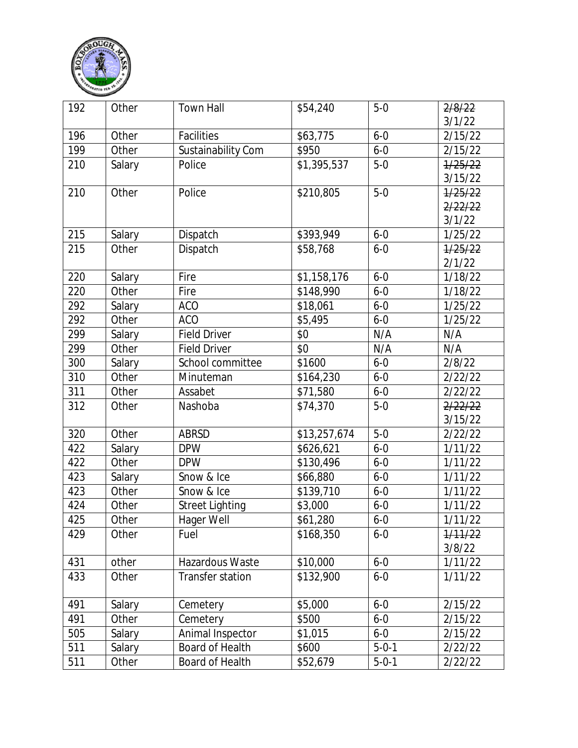

| 192 | Other  | <b>Town Hall</b>        | \$54,240     | $5-0$       | 2/8/22  |
|-----|--------|-------------------------|--------------|-------------|---------|
|     |        |                         |              |             | 3/1/22  |
| 196 | Other  | <b>Facilities</b>       | \$63,775     | $6 - 0$     | 2/15/22 |
| 199 | Other  | Sustainability Com      | \$950        | $6 - 0$     | 2/15/22 |
| 210 | Salary | Police                  | \$1,395,537  | $5-0$       | 1/25/22 |
|     |        |                         |              |             | 3/15/22 |
| 210 | Other  | Police                  | \$210,805    | $5-0$       | 1/25/22 |
|     |        |                         |              |             | 2/22/22 |
|     |        |                         |              |             | 3/1/22  |
| 215 | Salary | Dispatch                | \$393,949    | $6 - 0$     | 1/25/22 |
| 215 | Other  | Dispatch                | \$58,768     | $6 - 0$     | 1/25/22 |
|     |        |                         |              |             | 2/1/22  |
| 220 | Salary | Fire                    | \$1,158,176  | $6 - 0$     | 1/18/22 |
| 220 | Other  | Fire                    | \$148,990    | $6 - 0$     | 1/18/22 |
| 292 | Salary | <b>ACO</b>              | \$18,061     | $6 - 0$     | 1/25/22 |
| 292 | Other  | <b>ACO</b>              | \$5,495      | $6 - 0$     | 1/25/22 |
| 299 | Salary | <b>Field Driver</b>     | \$0          | N/A         | N/A     |
| 299 | Other  | <b>Field Driver</b>     | \$0          | N/A         | N/A     |
| 300 | Salary | School committee        | \$1600       | $6 - 0$     | 2/8/22  |
| 310 | Other  | Minuteman               | \$164,230    | $6 - 0$     | 2/22/22 |
| 311 | Other  | Assabet                 | \$71,580     | $6 - 0$     | 2/22/22 |
| 312 | Other  | Nashoba                 | \$74,370     | $5-0$       | 2/22/22 |
|     |        |                         |              |             | 3/15/22 |
| 320 | Other  | <b>ABRSD</b>            | \$13,257,674 | $5-0$       | 2/22/22 |
| 422 | Salary | <b>DPW</b>              | \$626,621    | $6 - 0$     | 1/11/22 |
| 422 | Other  | <b>DPW</b>              | \$130,496    | $6 - 0$     | 1/11/22 |
| 423 | Salary | Snow & Ice              | \$66,880     | $6 - 0$     | 1/11/22 |
| 423 | Other  | Snow & Ice              | \$139,710    | $6 - 0$     | 1/11/22 |
| 424 | Other  | <b>Street Lighting</b>  | \$3,000      | $6 - 0$     | 1/11/22 |
| 425 | Other  | Hager Well              | \$61,280     | $6 - 0$     | 1/11/22 |
| 429 | Other  | Fuel                    | \$168,350    | $6-0$       | 1/11/22 |
|     |        |                         |              |             | 3/8/22  |
| 431 | other  | Hazardous Waste         | \$10,000     | $6 - 0$     | 1/11/22 |
| 433 | Other  | <b>Transfer station</b> | \$132,900    | $6 - 0$     | 1/11/22 |
|     |        |                         |              |             |         |
| 491 | Salary | Cemetery                | \$5,000      | $6 - 0$     | 2/15/22 |
| 491 | Other  | Cemetery                | \$500        | $6 - 0$     | 2/15/22 |
| 505 | Salary | Animal Inspector        | \$1,015      | $6 - 0$     | 2/15/22 |
| 511 | Salary | Board of Health         | \$600        | $5 - 0 - 1$ | 2/22/22 |
| 511 | Other  | Board of Health         | \$52,679     | $5 - 0 - 1$ | 2/22/22 |